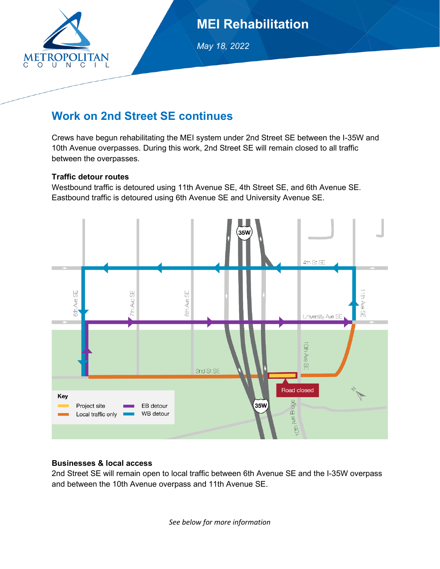

## **MEI Rehabilitation**

*May 18, 2022* 

### **Work on 2nd Street SE continues**

Crews have begun rehabilitating the MEI system under 2nd Street SE between the I-35W and 10th Avenue overpasses. During this work, 2nd Street SE will remain closed to all traffic between the overpasses.

#### **Traffic detour routes**

Westbound traffic is detoured using 11th Avenue SE, 4th Street SE, and 6th Avenue SE. Eastbound traffic is detoured using 6th Avenue SE and University Avenue SE.



#### **Businesses & local access**

2nd Street SE will remain open to local traffic between 6th Avenue SE and the I-35W overpass and between the 10th Avenue overpass and 11th Avenue SE.

*See below for more information*